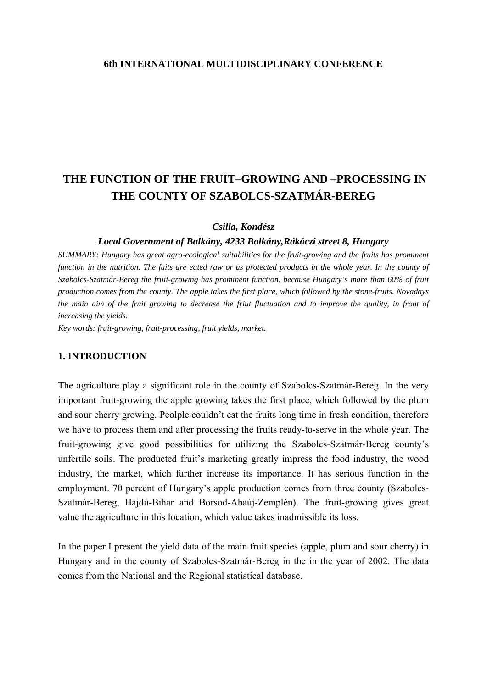### **6th INTERNATIONAL MULTIDISCIPLINARY CONFERENCE**

# **THE FUNCTION OF THE FRUIT–GROWING AND –PROCESSING IN THE COUNTY OF SZABOLCS-SZATMÁR-BEREG**

#### *Csilla, Kondész*

#### *Local Government of Balkány, 4233 Balkány,Rákóczi street 8, Hungary*

*SUMMARY: Hungary has great agro-ecological suitabilities for the fruit-growing and the fruits has prominent function in the nutrition. The fuits are eated raw or as protected products in the whole year. In the county of Szabolcs-Szatmár-Bereg the fruit-growing has prominent function, because Hungary's mare than 60% of fruit production comes from the county. The apple takes the first place, which followed by the stone-fruits. Novadays the main aim of the fruit growing to decrease the friut fluctuation and to improve the quality, in front of increasing the yields.* 

*Key words: fruit-growing, fruit-processing, fruit yields, market.* 

#### **1. INTRODUCTION**

The agriculture play a significant role in the county of Szabolcs-Szatmár-Bereg. In the very important fruit-growing the apple growing takes the first place, which followed by the plum and sour cherry growing. Peolple couldn't eat the fruits long time in fresh condition, therefore we have to process them and after processing the fruits ready-to-serve in the whole year. The fruit-growing give good possibilities for utilizing the Szabolcs-Szatmár-Bereg county's unfertile soils. The producted fruit's marketing greatly impress the food industry, the wood industry, the market, which further increase its importance. It has serious function in the employment. 70 percent of Hungary's apple production comes from three county (Szabolcs-Szatmár-Bereg, Hajdú-Bihar and Borsod-Abaúj-Zemplén). The fruit-growing gives great value the agriculture in this location, which value takes inadmissible its loss.

In the paper I present the yield data of the main fruit species (apple, plum and sour cherry) in Hungary and in the county of Szabolcs-Szatmár-Bereg in the in the year of 2002. The data comes from the National and the Regional statistical database.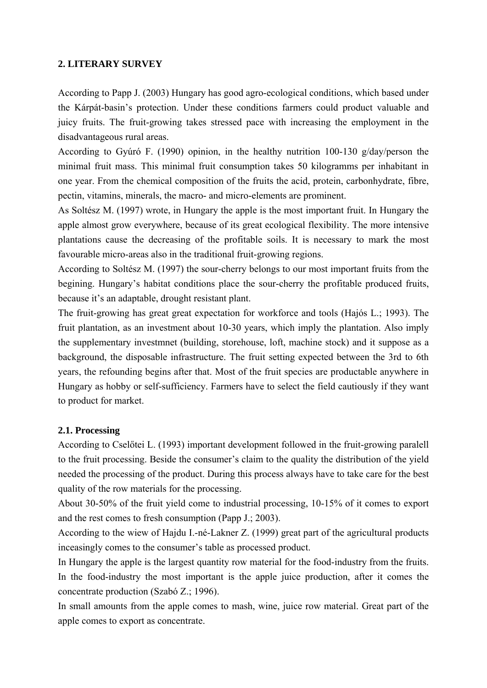## **2. LITERARY SURVEY**

According to Papp J. (2003) Hungary has good agro-ecological conditions, which based under the Kárpát-basin's protection. Under these conditions farmers could product valuable and juicy fruits. The fruit-growing takes stressed pace with increasing the employment in the disadvantageous rural areas.

According to Gyúró F. (1990) opinion, in the healthy nutrition 100-130 g/day/person the minimal fruit mass. This minimal fruit consumption takes 50 kilogramms per inhabitant in one year. From the chemical composition of the fruits the acid, protein, carbonhydrate, fibre, pectin, vitamins, minerals, the macro- and micro-elements are prominent.

As Soltész M. (1997) wrote, in Hungary the apple is the most important fruit. In Hungary the apple almost grow everywhere, because of its great ecological flexibility. The more intensive plantations cause the decreasing of the profitable soils. It is necessary to mark the most favourable micro-areas also in the traditional fruit-growing regions.

According to Soltész M. (1997) the sour-cherry belongs to our most important fruits from the begining. Hungary's habitat conditions place the sour-cherry the profitable produced fruits, because it's an adaptable, drought resistant plant.

The fruit-growing has great great expectation for workforce and tools (Hajós L.; 1993). The fruit plantation, as an investment about 10-30 years, which imply the plantation. Also imply the supplementary investmnet (building, storehouse, loft, machine stock) and it suppose as a background, the disposable infrastructure. The fruit setting expected between the 3rd to 6th years, the refounding begins after that. Most of the fruit species are productable anywhere in Hungary as hobby or self-sufficiency. Farmers have to select the field cautiously if they want to product for market.

## **2.1. Processing**

According to Cselőtei L. (1993) important development followed in the fruit-growing paralell to the fruit processing. Beside the consumer's claim to the quality the distribution of the yield needed the processing of the product. During this process always have to take care for the best quality of the row materials for the processing.

About 30-50% of the fruit yield come to industrial processing, 10-15% of it comes to export and the rest comes to fresh consumption (Papp J.; 2003).

According to the wiew of Hajdu I.-né-Lakner Z. (1999) great part of the agricultural products inceasingly comes to the consumer's table as processed product.

In Hungary the apple is the largest quantity row material for the food-industry from the fruits. In the food-industry the most important is the apple juice production, after it comes the concentrate production (Szabó Z.; 1996).

In small amounts from the apple comes to mash, wine, juice row material. Great part of the apple comes to export as concentrate.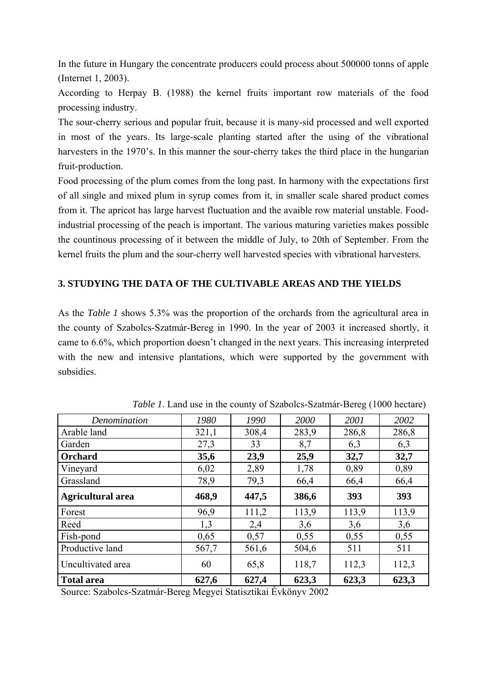In the future in Hungary the concentrate producers could process about 500000 tonns of apple (Internet 1, 2003).

According to Herpay B. (1988) the kernel fruits important row materials of the food processing industry.

The sour-cherry serious and popular fruit, because it is many-sid processed and well exported in most of the years. Its large-scale planting started after the using of the vibrational harvesters in the 1970's. In this manner the sour-cherry takes the third place in the hungarian fruit-production.

Food processing of the plum comes from the long past. In harmony with the expectations first of all single and mixed plum in syrup comes from it, in smaller scale shared product comes from it. The apricot has large harvest fluctuation and the avaible row material unstable. Foodindustrial processing of the peach is important. The various maturing varieties makes possible the countinous processing of it between the middle of July, to 20th of September. From the kernel fruits the plum and the sour-cherry well harvested species with vibrational harvesters.

## **3. STUDYING THE DATA OF THE CULTIVABLE AREAS AND THE YIELDS**

As the *Table 1* shows 5.3% was the proportion of the orchards from the agricultural area in the county of Szabolcs-Szatmár-Bereg in 1990. In the year of 2003 it increased shortly, it came to 6.6%, which proportion doesn't changed in the next years. This increasing interpreted with the new and intensive plantations, which were supported by the government with subsidies.

| Denomination             | 1980  | 1990  | 2000  | 2001  | 2002  |
|--------------------------|-------|-------|-------|-------|-------|
| Arable land              | 321,1 | 308,4 | 283,9 | 286,8 | 286,8 |
| Garden                   | 27,3  | 33    | 8,7   | 6,3   | 6,3   |
| Orchard                  | 35,6  | 23,9  | 25,9  | 32,7  | 32,7  |
| Vineyard                 | 6,02  | 2,89  | 1,78  | 0,89  | 0,89  |
| Grassland                | 78,9  | 79,3  | 66,4  | 66,4  | 66,4  |
| <b>Agricultural area</b> | 468,9 | 447,5 | 386,6 | 393   | 393   |
| Forest                   | 96,9  | 111,2 | 113,9 | 113,9 | 113,9 |
| Reed                     | 1,3   | 2,4   | 3,6   | 3,6   | 3,6   |
| Fish-pond                | 0,65  | 0,57  | 0,55  | 0,55  | 0,55  |
| Productive land          | 567,7 | 561,6 | 504,6 | 511   | 511   |
| Uncultivated area        | 60    | 65,8  | 118,7 | 112,3 | 112,3 |
| <b>Total area</b>        | 627,6 | 627,4 | 623,3 | 623,3 | 623,3 |

*Table 1*. Land use in the county of Szabolcs-Szatmár-Bereg (1000 hectare)

Source: Szabolcs-Szatmár-Bereg Megyei Statisztikai Évkönyv 2002